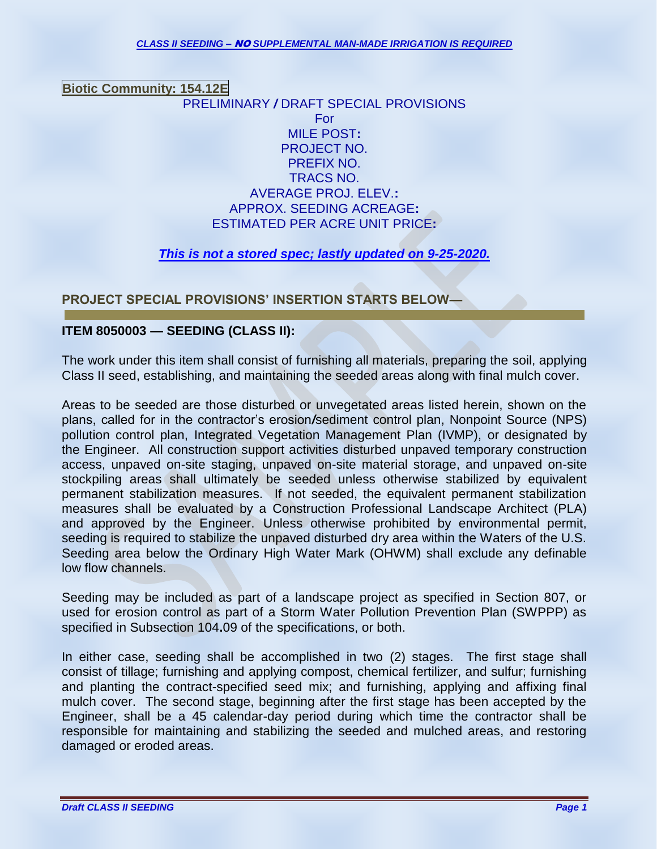**Biotic Community: 154.12E** PRELIMINARY */* DRAFT SPECIAL PROVISIONS For MILE POST**:** PROJECT NO. PREFIX NO. TRACS NO. AVERAGE PROJ. ELEV.**:**  APPROX. SEEDING ACREAGE**:**  ESTIMATED PER ACRE UNIT PRICE**:** 

# *This is not a stored spec; lastly updated on 9-25-2020.*

# **PROJECT SPECIAL PROVISIONS' INSERTION STARTS BELOW—**

# **ITEM 8050003 — SEEDING (CLASS II):**

The work under this item shall consist of furnishing all materials, preparing the soil, applying Class II seed, establishing, and maintaining the seeded areas along with final mulch cover.

Areas to be seeded are those disturbed or unvegetated areas listed herein, shown on the plans, called for in the contractor's erosion*/*sediment control plan, Nonpoint Source (NPS) pollution control plan, Integrated Vegetation Management Plan (IVMP), or designated by the Engineer. All construction support activities disturbed unpaved temporary construction access, unpaved on-site staging, unpaved on-site material storage, and unpaved on-site stockpiling areas shall ultimately be seeded unless otherwise stabilized by equivalent permanent stabilization measures. If not seeded, the equivalent permanent stabilization measures shall be evaluated by a Construction Professional Landscape Architect (PLA) and approved by the Engineer. Unless otherwise prohibited by environmental permit, seeding is required to stabilize the unpaved disturbed dry area within the Waters of the U.S. Seeding area below the Ordinary High Water Mark (OHWM) shall exclude any definable low flow channels.

Seeding may be included as part of a landscape project as specified in Section 807, or used for erosion control as part of a Storm Water Pollution Prevention Plan (SWPPP) as specified in Subsection 104**.**09 of the specifications, or both.

In either case, seeding shall be accomplished in two (2) stages. The first stage shall consist of tillage; furnishing and applying compost, chemical fertilizer, and sulfur; furnishing and planting the contract-specified seed mix; and furnishing, applying and affixing final mulch cover. The second stage, beginning after the first stage has been accepted by the Engineer, shall be a 45 calendar-day period during which time the contractor shall be responsible for maintaining and stabilizing the seeded and mulched areas, and restoring damaged or eroded areas.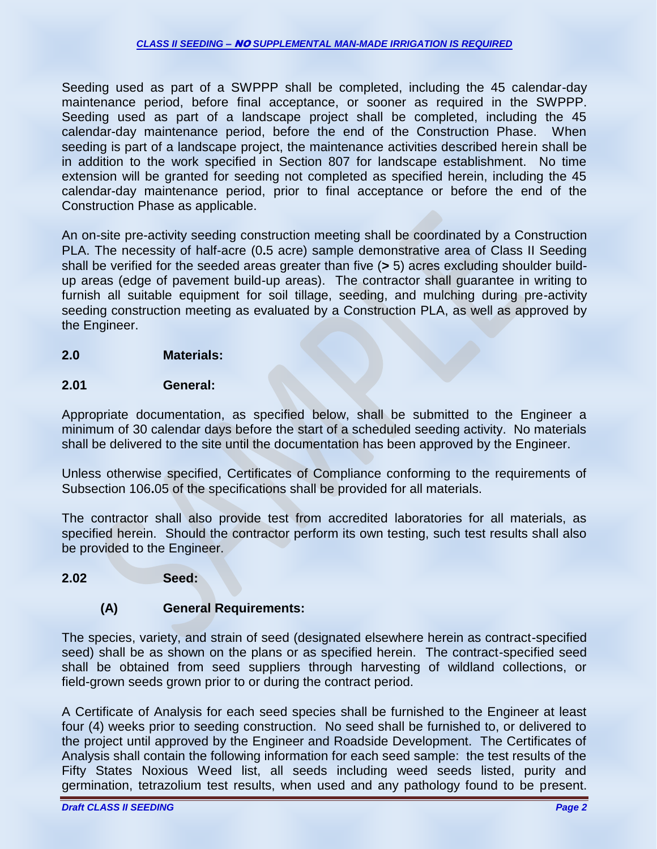Seeding used as part of a SWPPP shall be completed, including the 45 calendar-day maintenance period, before final acceptance, or sooner as required in the SWPPP. Seeding used as part of a landscape project shall be completed, including the 45 calendar-day maintenance period, before the end of the Construction Phase. When seeding is part of a landscape project, the maintenance activities described herein shall be in addition to the work specified in Section 807 for landscape establishment. No time extension will be granted for seeding not completed as specified herein, including the 45 calendar-day maintenance period, prior to final acceptance or before the end of the Construction Phase as applicable.

An on-site pre-activity seeding construction meeting shall be coordinated by a Construction PLA. The necessity of half-acre (0**.**5 acre) sample demonstrative area of Class II Seeding shall be verified for the seeded areas greater than five (**>** 5) acres excluding shoulder buildup areas (edge of pavement build-up areas). The contractor shall guarantee in writing to furnish all suitable equipment for soil tillage, seeding, and mulching during pre-activity seeding construction meeting as evaluated by a Construction PLA, as well as approved by the Engineer.

# **2.0 Materials:**

# **2.01 General:**

Appropriate documentation, as specified below, shall be submitted to the Engineer a minimum of 30 calendar days before the start of a scheduled seeding activity. No materials shall be delivered to the site until the documentation has been approved by the Engineer.

Unless otherwise specified, Certificates of Compliance conforming to the requirements of Subsection 106**.**05 of the specifications shall be provided for all materials.

The contractor shall also provide test from accredited laboratories for all materials, as specified herein. Should the contractor perform its own testing, such test results shall also be provided to the Engineer.

# **2.02 Seed:**

# **(A) General Requirements:**

The species, variety, and strain of seed (designated elsewhere herein as contract-specified seed) shall be as shown on the plans or as specified herein. The contract-specified seed shall be obtained from seed suppliers through harvesting of wildland collections, or field-grown seeds grown prior to or during the contract period.

A Certificate of Analysis for each seed species shall be furnished to the Engineer at least four (4) weeks prior to seeding construction. No seed shall be furnished to, or delivered to the project until approved by the Engineer and Roadside Development. The Certificates of Analysis shall contain the following information for each seed sample: the test results of the Fifty States Noxious Weed list, all seeds including weed seeds listed, purity and germination, tetrazolium test results, when used and any pathology found to be present.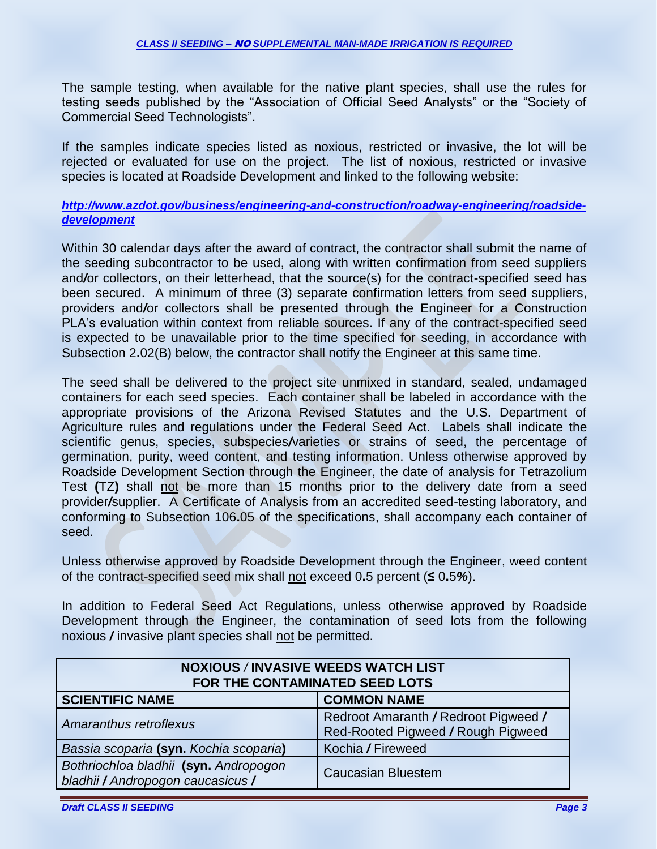The sample testing, when available for the native plant species, shall use the rules for testing seeds published by the "Association of Official Seed Analysts" or the "Society of Commercial Seed Technologists".

If the samples indicate species listed as noxious, restricted or invasive, the lot will be rejected or evaluated for use on the project. The list of noxious, restricted or invasive species is located at Roadside Development and linked to the following website:

### *[http://www.azdot.gov/business/engineering-and-construction/roadway-engineering/roadside](http://www.azdot.gov/business/engineering-and-construction/roadway-engineering/roadside-development)[development](http://www.azdot.gov/business/engineering-and-construction/roadway-engineering/roadside-development)*

Within 30 calendar days after the award of contract, the contractor shall submit the name of the seeding subcontractor to be used, along with written confirmation from seed suppliers and*/*or collectors, on their letterhead, that the source(s) for the contract-specified seed has been secured. A minimum of three (3) separate confirmation letters from seed suppliers, providers and*/*or collectors shall be presented through the Engineer for a Construction PLA's evaluation within context from reliable sources. If any of the contract-specified seed is expected to be unavailable prior to the time specified for seeding, in accordance with Subsection 2**.**02(B) below, the contractor shall notify the Engineer at this same time.

The seed shall be delivered to the project site unmixed in standard, sealed, undamaged containers for each seed species. Each container shall be labeled in accordance with the appropriate provisions of the Arizona Revised Statutes and the U.S. Department of Agriculture rules and regulations under the Federal Seed Act. Labels shall indicate the scientific genus, species, subspecies*/*varieties or strains of seed, the percentage of germination, purity, weed content, and testing information. Unless otherwise approved by Roadside Development Section through the Engineer, the date of analysis for Tetrazolium Test **(**TZ**)** shall not be more than 15 months prior to the delivery date from a seed provider*/*supplier. A Certificate of Analysis from an accredited seed-testing laboratory, and conforming to Subsection 106**.**05 of the specifications, shall accompany each container of seed.

Unless otherwise approved by Roadside Development through the Engineer, weed content of the contract-specified seed mix shall not exceed 0**.**5 percent (**≤** 0**.**5*%*).

In addition to Federal Seed Act Regulations, unless otherwise approved by Roadside Development through the Engineer, the contamination of seed lots from the following noxious */* invasive plant species shall not be permitted.

| <b>NOXIOUS / INVASIVE WEEDS WATCH LIST</b><br>FOR THE CONTAMINATED SEED LOTS |                                                                            |  |  |
|------------------------------------------------------------------------------|----------------------------------------------------------------------------|--|--|
| <b>SCIENTIFIC NAME</b>                                                       | <b>COMMON NAME</b>                                                         |  |  |
| Amaranthus retroflexus                                                       | Redroot Amaranth / Redroot Pigweed /<br>Red-Rooted Pigweed / Rough Pigweed |  |  |
| Bassia scoparia (syn. Kochia scoparia)                                       | Kochia / Fireweed                                                          |  |  |
| Bothriochloa bladhii (syn. Andropogon<br>bladhii / Andropogon caucasicus /   | <b>Caucasian Bluestem</b>                                                  |  |  |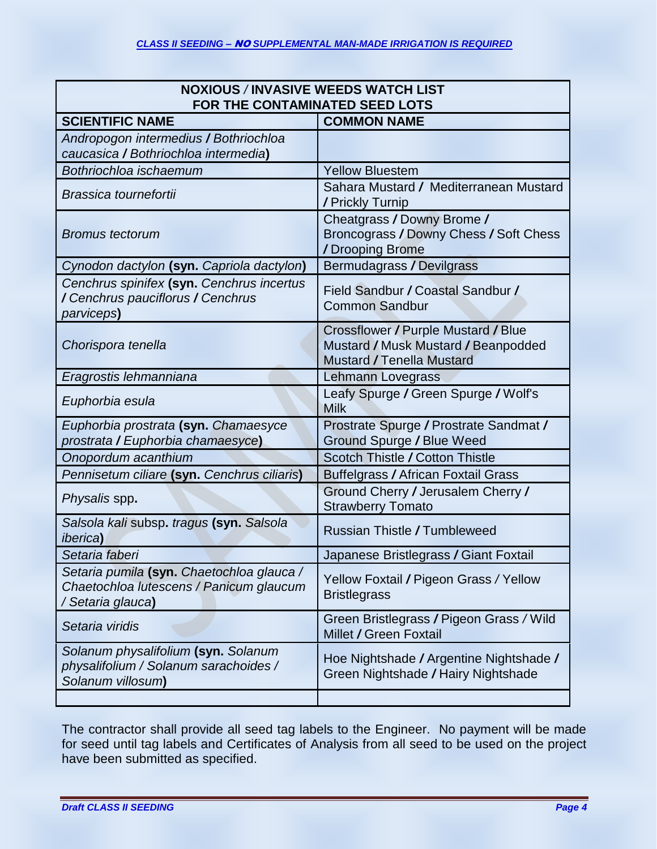| <b>NOXIOUS / INVASIVE WEEDS WATCH LIST</b><br>FOR THE CONTAMINATED SEED LOTS                              |                                                                                                                |  |  |
|-----------------------------------------------------------------------------------------------------------|----------------------------------------------------------------------------------------------------------------|--|--|
| <b>SCIENTIFIC NAME</b>                                                                                    | <b>COMMON NAME</b>                                                                                             |  |  |
| Andropogon intermedius / Bothriochloa                                                                     |                                                                                                                |  |  |
| caucasica / Bothriochloa intermedia)                                                                      |                                                                                                                |  |  |
| Bothriochloa ischaemum                                                                                    | <b>Yellow Bluestem</b>                                                                                         |  |  |
| Brassica tournefortii                                                                                     | Sahara Mustard / Mediterranean Mustard<br>/ Prickly Turnip                                                     |  |  |
| <b>Bromus tectorum</b>                                                                                    | Cheatgrass / Downy Brome /<br>Broncograss / Downy Chess / Soft Chess<br>/Drooping Brome                        |  |  |
| Cynodon dactylon (syn. Capriola dactylon)                                                                 | Bermudagrass / Devilgrass                                                                                      |  |  |
| Cenchrus spinifex (syn. Cenchrus incertus<br>/ Cenchrus pauciflorus / Cenchrus<br>parviceps <b>)</b>      | Field Sandbur / Coastal Sandbur /<br><b>Common Sandbur</b>                                                     |  |  |
| Chorispora tenella                                                                                        | Crossflower / Purple Mustard / Blue<br>Mustard / Musk Mustard / Beanpodded<br><b>Mustard / Tenella Mustard</b> |  |  |
| Eragrostis lehmanniana                                                                                    | Lehmann Lovegrass                                                                                              |  |  |
| Euphorbia esula                                                                                           | Leafy Spurge / Green Spurge / Wolf's<br><b>Milk</b>                                                            |  |  |
| Euphorbia prostrata (syn. Chamaesyce                                                                      | Prostrate Spurge / Prostrate Sandmat /                                                                         |  |  |
| prostrata / Euphorbia chamaesyce)                                                                         | <b>Ground Spurge / Blue Weed</b>                                                                               |  |  |
| Onopordum acanthium                                                                                       | Scotch Thistle / Cotton Thistle                                                                                |  |  |
| Pennisetum ciliare (syn. Cenchrus ciliaris)                                                               | <b>Buffelgrass / African Foxtail Grass</b>                                                                     |  |  |
| Physalis spp.                                                                                             | Ground Cherry / Jerusalem Cherry /<br><b>Strawberry Tomato</b>                                                 |  |  |
| Salsola kali subsp. tragus (syn. Salsola<br><i>iberica</i> )                                              | <b>Russian Thistle / Tumbleweed</b>                                                                            |  |  |
| Setaria faberi                                                                                            | Japanese Bristlegrass / Giant Foxtail                                                                          |  |  |
| Setaria pumila (syn. Chaetochloa glauca /<br>Chaetochloa lutescens / Panicum glaucum<br>/ Setaria glauca) | Yellow Foxtail / Pigeon Grass / Yellow<br><b>Bristlegrass</b>                                                  |  |  |
| Setaria viridis                                                                                           | Green Bristlegrass / Pigeon Grass / Wild<br>Millet / Green Foxtail                                             |  |  |
| Solanum physalifolium (syn. Solanum<br>physalifolium / Solanum sarachoides /<br>Solanum villosum)         | Hoe Nightshade / Argentine Nightshade /<br>Green Nightshade / Hairy Nightshade                                 |  |  |
|                                                                                                           |                                                                                                                |  |  |

The contractor shall provide all seed tag labels to the Engineer. No payment will be made for seed until tag labels and Certificates of Analysis from all seed to be used on the project have been submitted as specified.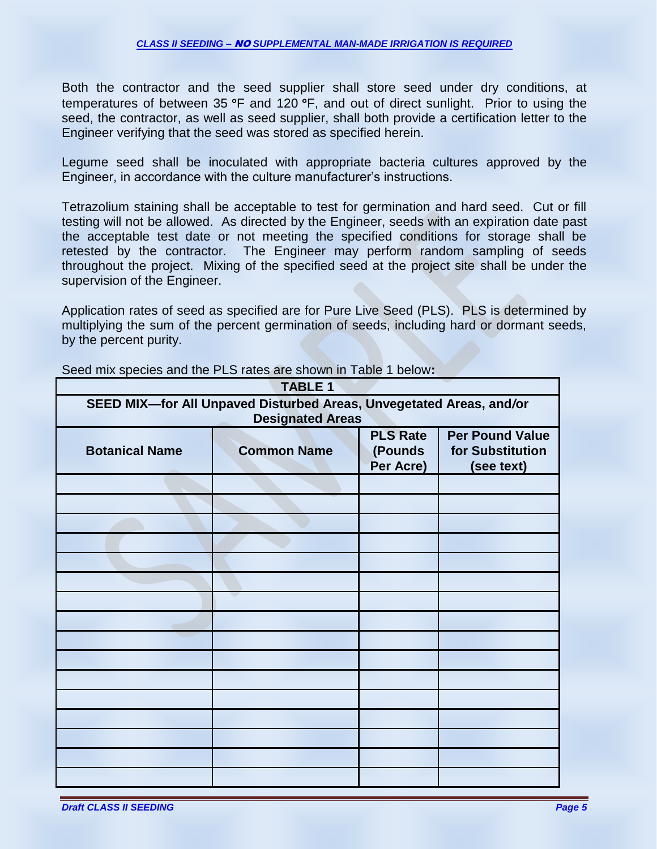Both the contractor and the seed supplier shall store seed under dry conditions, at temperatures of between 35  $\degree$ F and 120  $\degree$ F, and out of direct sunlight. Prior to using the seed, the contractor, as well as seed supplier, shall both provide a certification letter to the Engineer verifying that the seed was stored as specified herein.

Legume seed shall be inoculated with appropriate bacteria cultures approved by the Engineer, in accordance with the culture manufacturer's instructions.

Tetrazolium staining shall be acceptable to test for germination and hard seed. Cut or fill testing will not be allowed. As directed by the Engineer, seeds with an expiration date past the acceptable test date or not meeting the specified conditions for storage shall be retested by the contractor. The Engineer may perform random sampling of seeds throughout the project. Mixing of the specified seed at the project site shall be under the supervision of the Engineer.

Application rates of seed as specified are for Pure Live Seed (PLS). PLS is determined by multiplying the sum of the percent germination of seeds, including hard or dormant seeds, by the percent purity.

| <b>TABLE 1</b>                                                                                 |                    |                                         |                                                          |
|------------------------------------------------------------------------------------------------|--------------------|-----------------------------------------|----------------------------------------------------------|
| SEED MIX-for All Unpaved Disturbed Areas, Unvegetated Areas, and/or<br><b>Designated Areas</b> |                    |                                         |                                                          |
| <b>Botanical Name</b>                                                                          | <b>Common Name</b> | <b>PLS Rate</b><br>(Pounds<br>Per Acre) | <b>Per Pound Value</b><br>for Substitution<br>(see text) |
|                                                                                                |                    |                                         |                                                          |
|                                                                                                |                    |                                         |                                                          |
|                                                                                                |                    |                                         |                                                          |
|                                                                                                |                    |                                         |                                                          |
|                                                                                                |                    |                                         |                                                          |
|                                                                                                |                    |                                         |                                                          |
|                                                                                                |                    |                                         |                                                          |
|                                                                                                |                    |                                         |                                                          |
|                                                                                                |                    |                                         |                                                          |
|                                                                                                |                    |                                         |                                                          |
|                                                                                                |                    |                                         |                                                          |
|                                                                                                |                    |                                         |                                                          |
|                                                                                                |                    |                                         |                                                          |
|                                                                                                |                    |                                         |                                                          |
|                                                                                                |                    |                                         |                                                          |
|                                                                                                |                    |                                         |                                                          |

Seed mix species and the PLS rates are shown in Table 1 below**:**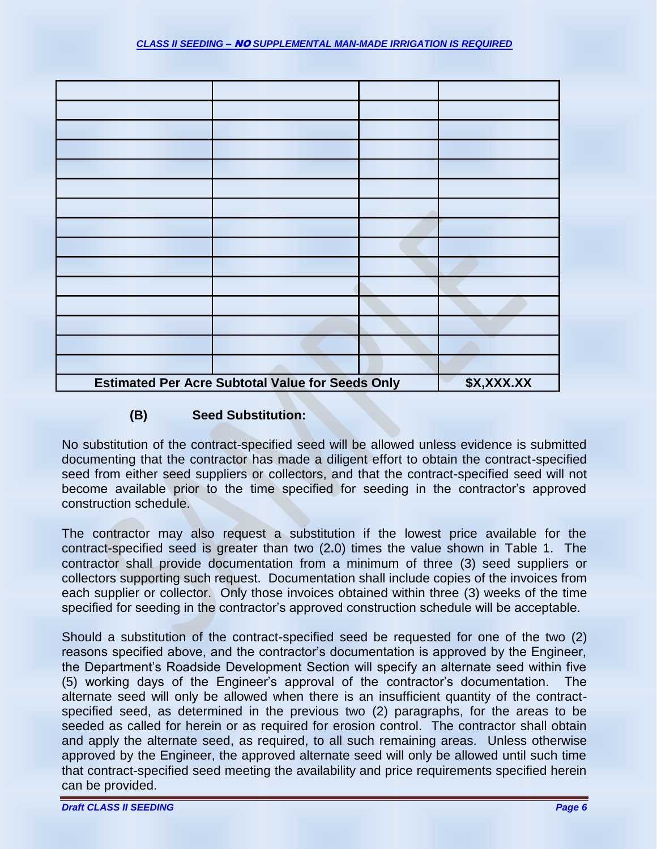

# **(B) Seed Substitution:**

No substitution of the contract-specified seed will be allowed unless evidence is submitted documenting that the contractor has made a diligent effort to obtain the contract-specified seed from either seed suppliers or collectors, and that the contract-specified seed will not become available prior to the time specified for seeding in the contractor's approved construction schedule.

The contractor may also request a substitution if the lowest price available for the contract-specified seed is greater than two (2**.**0) times the value shown in Table 1. The contractor shall provide documentation from a minimum of three (3) seed suppliers or collectors supporting such request. Documentation shall include copies of the invoices from each supplier or collector. Only those invoices obtained within three (3) weeks of the time specified for seeding in the contractor's approved construction schedule will be acceptable.

Should a substitution of the contract-specified seed be requested for one of the two (2) reasons specified above, and the contractor's documentation is approved by the Engineer, the Department's Roadside Development Section will specify an alternate seed within five (5) working days of the Engineer's approval of the contractor's documentation. The alternate seed will only be allowed when there is an insufficient quantity of the contractspecified seed, as determined in the previous two (2) paragraphs, for the areas to be seeded as called for herein or as required for erosion control. The contractor shall obtain and apply the alternate seed, as required, to all such remaining areas. Unless otherwise approved by the Engineer, the approved alternate seed will only be allowed until such time that contract-specified seed meeting the availability and price requirements specified herein can be provided.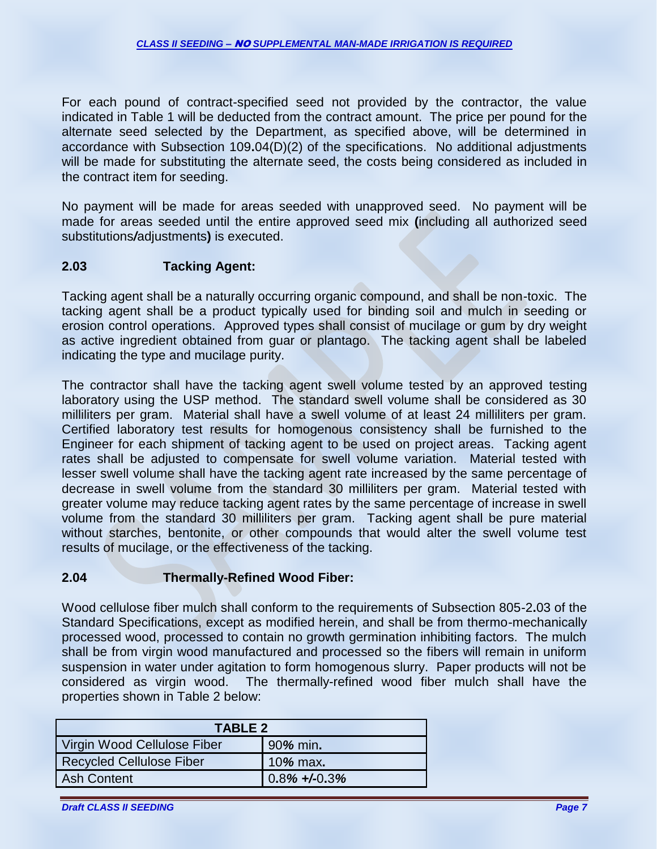For each pound of contract-specified seed not provided by the contractor, the value indicated in Table 1 will be deducted from the contract amount. The price per pound for the alternate seed selected by the Department, as specified above, will be determined in accordance with Subsection 109**.**04(D)(2) of the specifications. No additional adjustments will be made for substituting the alternate seed, the costs being considered as included in the contract item for seeding.

No payment will be made for areas seeded with unapproved seed. No payment will be made for areas seeded until the entire approved seed mix **(**including all authorized seed substitutions*/*adjustments**)** is executed.

# **2.03 Tacking Agent:**

Tacking agent shall be a naturally occurring organic compound, and shall be non-toxic. The tacking agent shall be a product typically used for binding soil and mulch in seeding or erosion control operations. Approved types shall consist of mucilage or gum by dry weight as active ingredient obtained from guar or plantago. The tacking agent shall be labeled indicating the type and mucilage purity.

The contractor shall have the tacking agent swell volume tested by an approved testing laboratory using the USP method. The standard swell volume shall be considered as 30 milliliters per gram. Material shall have a swell volume of at least 24 milliliters per gram. Certified laboratory test results for homogenous consistency shall be furnished to the Engineer for each shipment of tacking agent to be used on project areas. Tacking agent rates shall be adjusted to compensate for swell volume variation. Material tested with lesser swell volume shall have the tacking agent rate increased by the same percentage of decrease in swell volume from the standard 30 milliliters per gram. Material tested with greater volume may reduce tacking agent rates by the same percentage of increase in swell volume from the standard 30 milliliters per gram. Tacking agent shall be pure material without starches, bentonite, or other compounds that would alter the swell volume test results of mucilage, or the effectiveness of the tacking.

# **2.04 Thermally-Refined Wood Fiber:**

Wood cellulose fiber mulch shall conform to the requirements of Subsection 805-2**.**03 of the Standard Specifications, except as modified herein, and shall be from thermo-mechanically processed wood, processed to contain no growth germination inhibiting factors. The mulch shall be from virgin wood manufactured and processed so the fibers will remain in uniform suspension in water under agitation to form homogenous slurry. Paper products will not be considered as virgin wood. The thermally-refined wood fiber mulch shall have the properties shown in Table 2 below:

| <b>TABLE 2</b>                  |                 |  |  |
|---------------------------------|-----------------|--|--|
| Virgin Wood Cellulose Fiber     | 90% min.        |  |  |
| <b>Recycled Cellulose Fiber</b> | $10\%$ max.     |  |  |
| <b>Ash Content</b>              | $0.8\% + 0.3\%$ |  |  |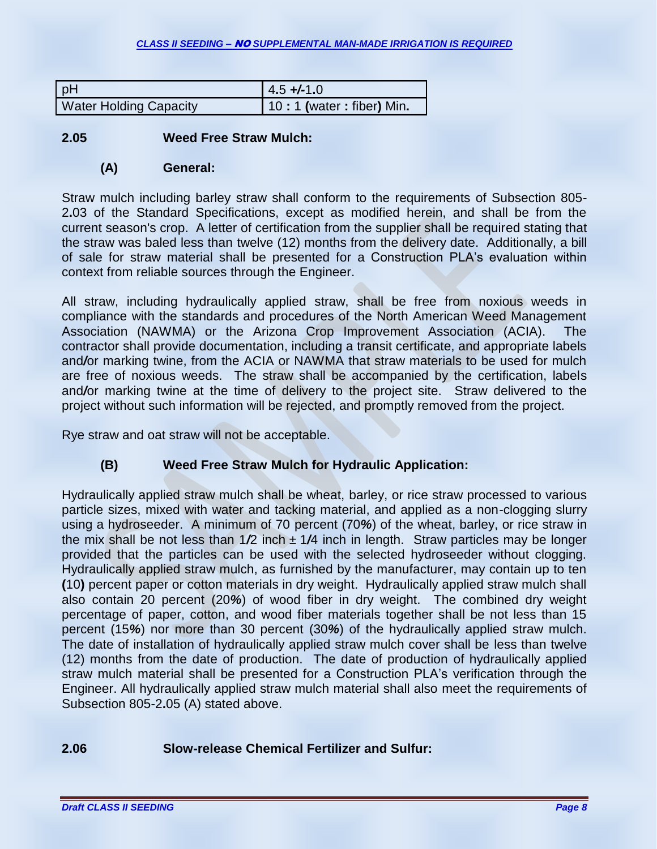| pH                            | $4.5 + (-1.0)$           |  |  |
|-------------------------------|--------------------------|--|--|
| <b>Water Holding Capacity</b> | 10:1 (water: fiber) Min. |  |  |

### **2.05 Weed Free Straw Mulch:**

#### **(A) General:**

Straw mulch including barley straw shall conform to the requirements of Subsection 805- 2**.**03 of the Standard Specifications, except as modified herein, and shall be from the current season's crop. A letter of certification from the supplier shall be required stating that the straw was baled less than twelve (12) months from the delivery date. Additionally, a bill of sale for straw material shall be presented for a Construction PLA's evaluation within context from reliable sources through the Engineer.

All straw, including hydraulically applied straw, shall be free from noxious weeds in compliance with the standards and procedures of the North American Weed Management Association (NAWMA) or the Arizona Crop Improvement Association (ACIA). The contractor shall provide documentation, including a transit certificate, and appropriate labels and*/*or marking twine, from the ACIA or NAWMA that straw materials to be used for mulch are free of noxious weeds. The straw shall be accompanied by the certification, labels and*/*or marking twine at the time of delivery to the project site. Straw delivered to the project without such information will be rejected, and promptly removed from the project.

Rye straw and oat straw will not be acceptable.

# **(B) Weed Free Straw Mulch for Hydraulic Application:**

Hydraulically applied straw mulch shall be wheat, barley, or rice straw processed to various particle sizes, mixed with water and tacking material, and applied as a non-clogging slurry using a hydroseeder. A minimum of 70 percent (70*%*) of the wheat, barley, or rice straw in the mix shall be not less than 1*/*2 inch ± 1*/*4 inch in length. Straw particles may be longer provided that the particles can be used with the selected hydroseeder without clogging. Hydraulically applied straw mulch, as furnished by the manufacturer, may contain up to ten **(**10**)** percent paper or cotton materials in dry weight. Hydraulically applied straw mulch shall also contain 20 percent (20*%*) of wood fiber in dry weight. The combined dry weight percentage of paper, cotton, and wood fiber materials together shall be not less than 15 percent (15*%*) nor more than 30 percent (30*%*) of the hydraulically applied straw mulch. The date of installation of hydraulically applied straw mulch cover shall be less than twelve (12) months from the date of production. The date of production of hydraulically applied straw mulch material shall be presented for a Construction PLA's verification through the Engineer. All hydraulically applied straw mulch material shall also meet the requirements of Subsection 805-2**.**05 (A) stated above.

# **2.06 Slow-release Chemical Fertilizer and Sulfur:**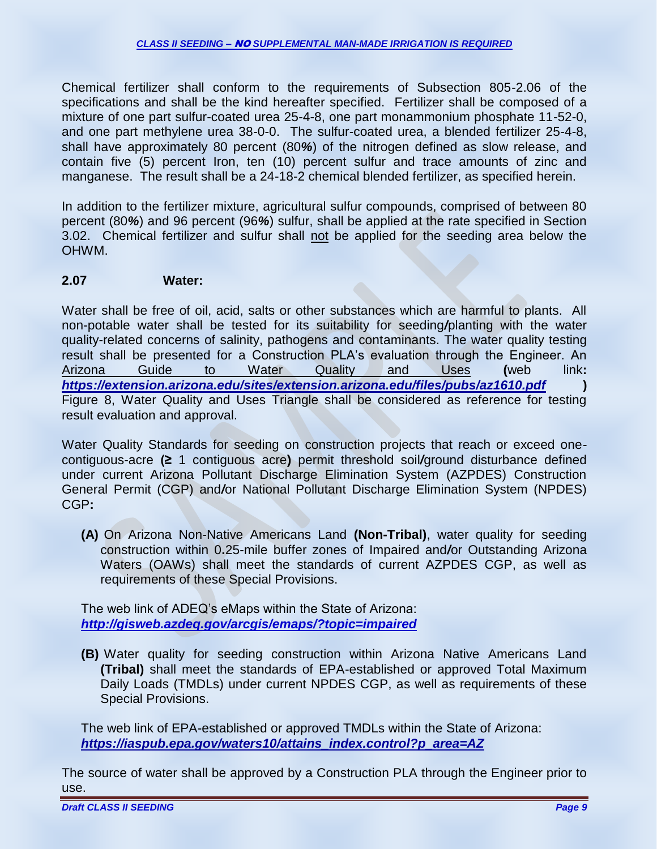Chemical fertilizer shall conform to the requirements of Subsection 805-2.06 of the specifications and shall be the kind hereafter specified. Fertilizer shall be composed of a mixture of one part sulfur-coated urea 25-4-8, one part monammonium phosphate 11-52-0, and one part methylene urea 38-0-0. The sulfur-coated urea, a blended fertilizer 25-4-8, shall have approximately 80 percent (80*%*) of the nitrogen defined as slow release, and contain five (5) percent Iron, ten (10) percent sulfur and trace amounts of zinc and manganese. The result shall be a 24-18-2 chemical blended fertilizer, as specified herein.

In addition to the fertilizer mixture, agricultural sulfur compounds, comprised of between 80 percent (80*%*) and 96 percent (96*%*) sulfur, shall be applied at the rate specified in Section 3.02. Chemical fertilizer and sulfur shall not be applied for the seeding area below the OHWM.

#### **2.07 Water:**

Water shall be free of oil, acid, salts or other substances which are harmful to plants. All non-potable water shall be tested for its suitability for seeding*/*planting with the water quality-related concerns of salinity, pathogens and contaminants. The water quality testing result shall be presented for a Construction PLA's evaluation through the Engineer. An Arizona Guide to Water Quality and Uses **(**web link**:** *<https://extension.arizona.edu/sites/extension.arizona.edu/files/pubs/az1610.pdf>* **)** Figure 8, Water Quality and Uses Triangle shall be considered as reference for testing result evaluation and approval.

Water Quality Standards for seeding on construction projects that reach or exceed onecontiguous-acre **(≥** 1 contiguous acre**)** permit threshold soil*/*ground disturbance defined under current Arizona Pollutant Discharge Elimination System (AZPDES) Construction General Permit (CGP) and*/*or National Pollutant Discharge Elimination System (NPDES) CGP**:**

**(A)** On Arizona Non-Native Americans Land **(Non-Tribal)**, water quality for seeding construction within 0**.**25-mile buffer zones of Impaired and*/*or Outstanding Arizona Waters (OAWs) shall meet the standards of current AZPDES CGP, as well as requirements of these Special Provisions.

The web link of ADEQ's eMaps within the State of Arizona: *<http://gisweb.azdeq.gov/arcgis/emaps/?topic=impaired>*

**(B)** Water quality for seeding construction within Arizona Native Americans Land **(Tribal)** shall meet the standards of EPA-established or approved Total Maximum Daily Loads (TMDLs) under current NPDES CGP, as well as requirements of these Special Provisions.

The web link of EPA-established or approved TMDLs within the State of Arizona: *[https://iaspub.epa.gov/waters10/attains\\_index.control?p\\_area=AZ](https://iaspub.epa.gov/waters10/attains_index.control?p_area=AZ)*

The source of water shall be approved by a Construction PLA through the Engineer prior to use.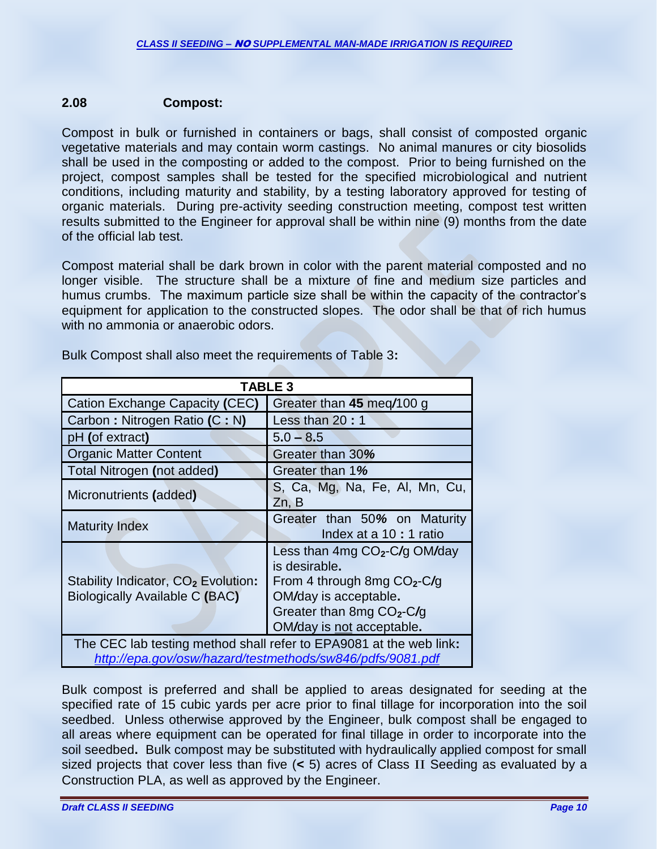#### **2.08 Compost:**

Compost in bulk or furnished in containers or bags, shall consist of composted organic vegetative materials and may contain worm castings. No animal manures or city biosolids shall be used in the composting or added to the compost. Prior to being furnished on the project, compost samples shall be tested for the specified microbiological and nutrient conditions, including maturity and stability, by a testing laboratory approved for testing of organic materials. During pre-activity seeding construction meeting, compost test written results submitted to the Engineer for approval shall be within nine (9) months from the date of the official lab test.

Compost material shall be dark brown in color with the parent material composted and no longer visible. The structure shall be a mixture of fine and medium size particles and humus crumbs. The maximum particle size shall be within the capacity of the contractor's equipment for application to the constructed slopes. The odor shall be that of rich humus with no ammonia or anaerobic odors.

| <b>TABLE 3</b>                                                                                                                  |                                                                                                                                                                                |  |
|---------------------------------------------------------------------------------------------------------------------------------|--------------------------------------------------------------------------------------------------------------------------------------------------------------------------------|--|
| Cation Exchange Capacity (CEC)                                                                                                  | Greater than 45 meg/100 g                                                                                                                                                      |  |
| Carbon: Nitrogen Ratio (C: N)                                                                                                   | Less than 20:1                                                                                                                                                                 |  |
| pH (of extract)                                                                                                                 | $5.0 - 8.5$                                                                                                                                                                    |  |
| <b>Organic Matter Content</b>                                                                                                   | Greater than 30%                                                                                                                                                               |  |
| Total Nitrogen (not added)                                                                                                      | Greater than 1%                                                                                                                                                                |  |
| Micronutrients (added)                                                                                                          | S, Ca, Mg, Na, Fe, Al, Mn, Cu,<br>Zn, B                                                                                                                                        |  |
| <b>Maturity Index</b>                                                                                                           | Greater than 50% on Maturity<br>Index at a 10 : 1 ratio                                                                                                                        |  |
| Stability Indicator, CO <sub>2</sub> Evolution:<br>Biologically Available C (BAC)                                               | Less than 4mg CO <sub>2</sub> -C/g OM/day<br>is desirable.<br>From 4 through 8mg $CO2-C/g$<br>OM/day is acceptable.<br>Greater than 8mg $CO2-C/g$<br>OM/day is not acceptable. |  |
| The CEC lab testing method shall refer to EPA9081 at the web link:<br>http://epa.gov/osw/hazard/testmethods/sw846/pdfs/9081.pdf |                                                                                                                                                                                |  |

Bulk Compost shall also meet the requirements of Table 3**:**

Bulk compost is preferred and shall be applied to areas designated for seeding at the specified rate of 15 cubic yards per acre prior to final tillage for incorporation into the soil seedbed. Unless otherwise approved by the Engineer, bulk compost shall be engaged to all areas where equipment can be operated for final tillage in order to incorporate into the soil seedbed**.** Bulk compost may be substituted with hydraulically applied compost for small sized projects that cover less than five (**<** 5) acres of Class II Seeding as evaluated by a Construction PLA, as well as approved by the Engineer.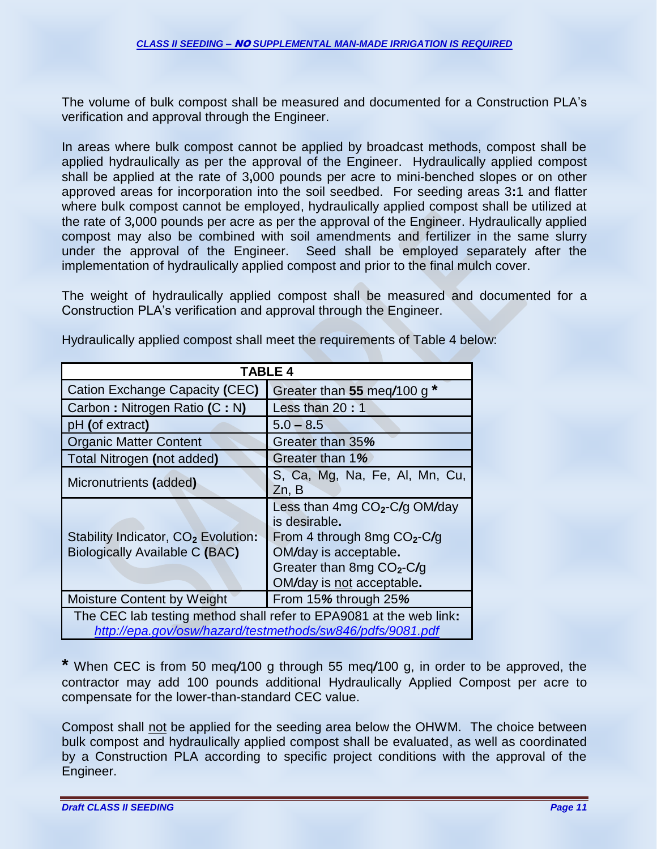The volume of bulk compost shall be measured and documented for a Construction PLA's verification and approval through the Engineer.

In areas where bulk compost cannot be applied by broadcast methods, compost shall be applied hydraulically as per the approval of the Engineer. Hydraulically applied compost shall be applied at the rate of 3**,**000 pounds per acre to mini-benched slopes or on other approved areas for incorporation into the soil seedbed. For seeding areas 3**:**1 and flatter where bulk compost cannot be employed, hydraulically applied compost shall be utilized at the rate of 3*,*000 pounds per acre as per the approval of the Engineer. Hydraulically applied compost may also be combined with soil amendments and fertilizer in the same slurry under the approval of the Engineer. Seed shall be employed separately after the implementation of hydraulically applied compost and prior to the final mulch cover.

The weight of hydraulically applied compost shall be measured and documented for a Construction PLA's verification and approval through the Engineer.

| TABLE 4                                                                                                                         |                                                                                                                                                                                |  |  |
|---------------------------------------------------------------------------------------------------------------------------------|--------------------------------------------------------------------------------------------------------------------------------------------------------------------------------|--|--|
| Cation Exchange Capacity (CEC)                                                                                                  | Greater than 55 meq/100 g *                                                                                                                                                    |  |  |
| Carbon: Nitrogen Ratio (C: N)                                                                                                   | Less than 20:1                                                                                                                                                                 |  |  |
| pH (of extract)                                                                                                                 | $5.0 - 8.5$                                                                                                                                                                    |  |  |
| <b>Organic Matter Content</b>                                                                                                   | Greater than 35%                                                                                                                                                               |  |  |
| Total Nitrogen (not added)                                                                                                      | Greater than 1%                                                                                                                                                                |  |  |
| Micronutrients (added)                                                                                                          | S, Ca, Mg, Na, Fe, Al, Mn, Cu,<br>Zn, B                                                                                                                                        |  |  |
| Stability Indicator, CO <sub>2</sub> Evolution:<br>Biologically Available C (BAC)                                               | Less than 4mg CO <sub>2</sub> -C/g OM/day<br>is desirable.<br>From 4 through 8mg $CO2-C/g$<br>OM/day is acceptable.<br>Greater than 8mg $CO2-C/g$<br>OM/day is not acceptable. |  |  |
| <b>Moisture Content by Weight</b>                                                                                               | From 15% through 25%                                                                                                                                                           |  |  |
| The CEC lab testing method shall refer to EPA9081 at the web link:<br>http://epa.gov/osw/hazard/testmethods/sw846/pdfs/9081.pdf |                                                                                                                                                                                |  |  |

Hydraulically applied compost shall meet the requirements of Table 4 below:

**\*** When CEC is from 50 meq*/*100 g through 55 meq*/*100 g, in order to be approved, the contractor may add 100 pounds additional Hydraulically Applied Compost per acre to compensate for the lower-than-standard CEC value.

Compost shall not be applied for the seeding area below the OHWM. The choice between bulk compost and hydraulically applied compost shall be evaluated, as well as coordinated by a Construction PLA according to specific project conditions with the approval of the Engineer.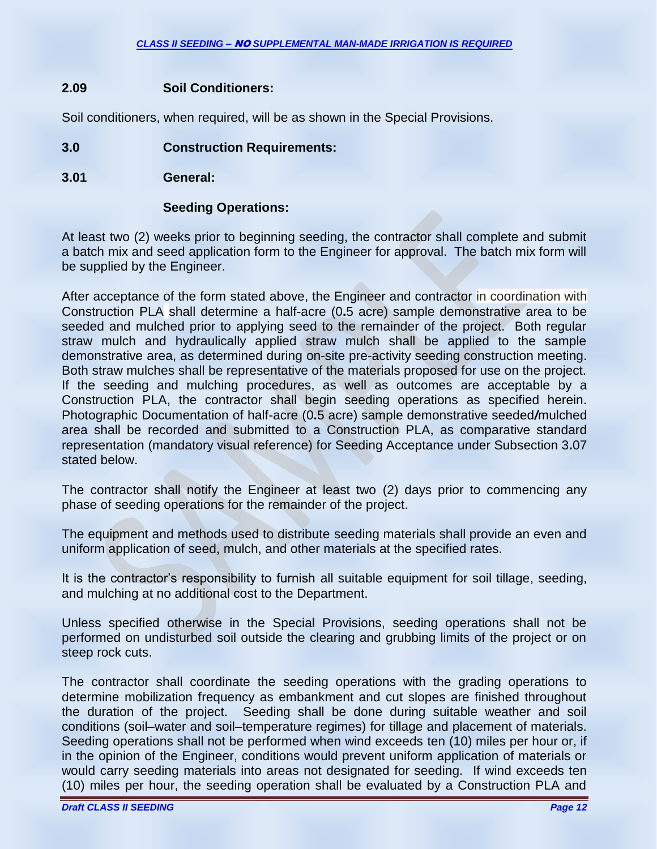# **2.09 Soil Conditioners:**

Soil conditioners, when required, will be as shown in the Special Provisions.

# **3.0 Construction Requirements:**

**3.01 General:**

### **Seeding Operations:**

At least two (2) weeks prior to beginning seeding, the contractor shall complete and submit a batch mix and seed application form to the Engineer for approval. The batch mix form will be supplied by the Engineer.

After acceptance of the form stated above, the Engineer and contractor in coordination with Construction PLA shall determine a half-acre (0**.**5 acre) sample demonstrative area to be seeded and mulched prior to applying seed to the remainder of the project. Both regular straw mulch and hydraulically applied straw mulch shall be applied to the sample demonstrative area, as determined during on-site pre-activity seeding construction meeting. Both straw mulches shall be representative of the materials proposed for use on the project. If the seeding and mulching procedures, as well as outcomes are acceptable by a Construction PLA, the contractor shall begin seeding operations as specified herein. Photographic Documentation of half-acre (0**.**5 acre) sample demonstrative seeded*/*mulched area shall be recorded and submitted to a Construction PLA, as comparative standard representation (mandatory visual reference) for Seeding Acceptance under Subsection 3**.**07 stated below.

The contractor shall notify the Engineer at least two (2) days prior to commencing any phase of seeding operations for the remainder of the project.

The equipment and methods used to distribute seeding materials shall provide an even and uniform application of seed, mulch, and other materials at the specified rates.

It is the contractor's responsibility to furnish all suitable equipment for soil tillage, seeding, and mulching at no additional cost to the Department.

Unless specified otherwise in the Special Provisions, seeding operations shall not be performed on undisturbed soil outside the clearing and grubbing limits of the project or on steep rock cuts.

The contractor shall coordinate the seeding operations with the grading operations to determine mobilization frequency as embankment and cut slopes are finished throughout the duration of the project. Seeding shall be done during suitable weather and soil conditions (soil–water and soil–temperature regimes) for tillage and placement of materials. Seeding operations shall not be performed when wind exceeds ten (10) miles per hour or, if in the opinion of the Engineer, conditions would prevent uniform application of materials or would carry seeding materials into areas not designated for seeding. If wind exceeds ten (10) miles per hour, the seeding operation shall be evaluated by a Construction PLA and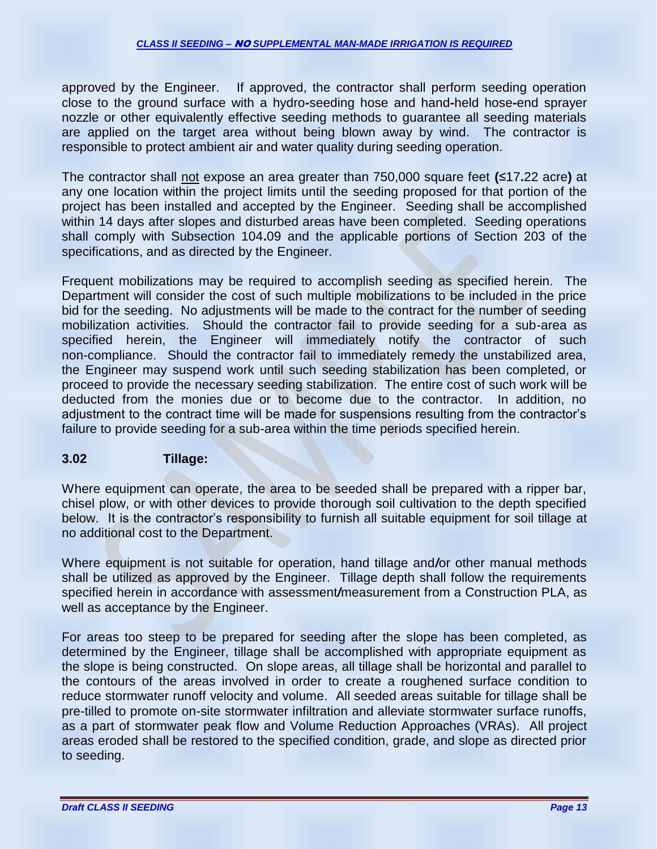approved by the Engineer. If approved, the contractor shall perform seeding operation close to the ground surface with a hydro**-**seeding hose and hand**-**held hose**-**end sprayer nozzle or other equivalently effective seeding methods to guarantee all seeding materials are applied on the target area without being blown away by wind. The contractor is responsible to protect ambient air and water quality during seeding operation.

The contractor shall not expose an area greater than 750,000 square feet **(**≤17**.**22 acre**)** at any one location within the project limits until the seeding proposed for that portion of the project has been installed and accepted by the Engineer. Seeding shall be accomplished within 14 days after slopes and disturbed areas have been completed. Seeding operations shall comply with Subsection 104**.**09 and the applicable portions of Section 203 of the specifications, and as directed by the Engineer.

Frequent mobilizations may be required to accomplish seeding as specified herein. The Department will consider the cost of such multiple mobilizations to be included in the price bid for the seeding. No adjustments will be made to the contract for the number of seeding mobilization activities. Should the contractor fail to provide seeding for a sub-area as specified herein, the Engineer will immediately notify the contractor of such non-compliance. Should the contractor fail to immediately remedy the unstabilized area, the Engineer may suspend work until such seeding stabilization has been completed, or proceed to provide the necessary seeding stabilization. The entire cost of such work will be deducted from the monies due or to become due to the contractor. In addition, no adjustment to the contract time will be made for suspensions resulting from the contractor's failure to provide seeding for a sub-area within the time periods specified herein.

# **3.02 Tillage:**

Where equipment can operate, the area to be seeded shall be prepared with a ripper bar, chisel plow, or with other devices to provide thorough soil cultivation to the depth specified below. It is the contractor's responsibility to furnish all suitable equipment for soil tillage at no additional cost to the Department.

Where equipment is not suitable for operation, hand tillage and*/*or other manual methods shall be utilized as approved by the Engineer. Tillage depth shall follow the requirements specified herein in accordance with assessment*/*measurement from a Construction PLA, as well as acceptance by the Engineer.

For areas too steep to be prepared for seeding after the slope has been completed, as determined by the Engineer, tillage shall be accomplished with appropriate equipment as the slope is being constructed. On slope areas, all tillage shall be horizontal and parallel to the contours of the areas involved in order to create a roughened surface condition to reduce stormwater runoff velocity and volume. All seeded areas suitable for tillage shall be pre-tilled to promote on-site stormwater infiltration and alleviate stormwater surface runoffs, as a part of stormwater peak flow and Volume Reduction Approaches (VRAs). All project areas eroded shall be restored to the specified condition, grade, and slope as directed prior to seeding.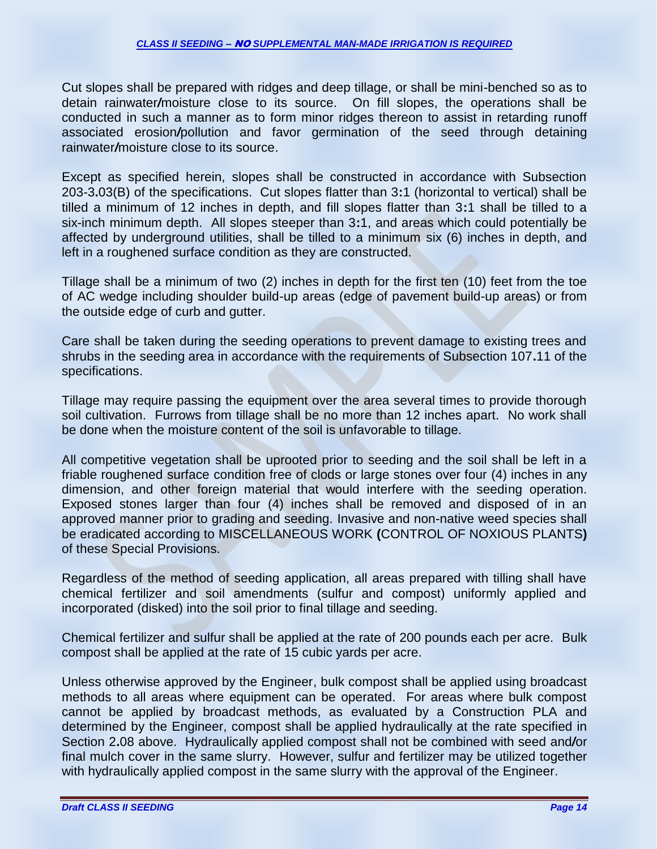Cut slopes shall be prepared with ridges and deep tillage, or shall be mini-benched so as to detain rainwater*/*moisture close to its source. On fill slopes, the operations shall be conducted in such a manner as to form minor ridges thereon to assist in retarding runoff associated erosion*/*pollution and favor germination of the seed through detaining rainwater*/*moisture close to its source.

Except as specified herein, slopes shall be constructed in accordance with Subsection 203-3**.**03(B) of the specifications. Cut slopes flatter than 3**:**1 (horizontal to vertical) shall be tilled a minimum of 12 inches in depth, and fill slopes flatter than 3**:**1 shall be tilled to a six-inch minimum depth. All slopes steeper than 3**:**1, and areas which could potentially be affected by underground utilities, shall be tilled to a minimum six (6) inches in depth, and left in a roughened surface condition as they are constructed.

Tillage shall be a minimum of two (2) inches in depth for the first ten (10) feet from the toe of AC wedge including shoulder build-up areas (edge of pavement build-up areas) or from the outside edge of curb and gutter.

Care shall be taken during the seeding operations to prevent damage to existing trees and shrubs in the seeding area in accordance with the requirements of Subsection 107**.**11 of the specifications.

Tillage may require passing the equipment over the area several times to provide thorough soil cultivation. Furrows from tillage shall be no more than 12 inches apart. No work shall be done when the moisture content of the soil is unfavorable to tillage.

All competitive vegetation shall be uprooted prior to seeding and the soil shall be left in a friable roughened surface condition free of clods or large stones over four (4) inches in any dimension, and other foreign material that would interfere with the seeding operation. Exposed stones larger than four (4) inches shall be removed and disposed of in an approved manner prior to grading and seeding. Invasive and non-native weed species shall be eradicated according to MISCELLANEOUS WORK **(**CONTROL OF NOXIOUS PLANTS**)** of these Special Provisions.

Regardless of the method of seeding application, all areas prepared with tilling shall have chemical fertilizer and soil amendments (sulfur and compost) uniformly applied and incorporated (disked) into the soil prior to final tillage and seeding.

Chemical fertilizer and sulfur shall be applied at the rate of 200 pounds each per acre. Bulk compost shall be applied at the rate of 15 cubic yards per acre.

Unless otherwise approved by the Engineer, bulk compost shall be applied using broadcast methods to all areas where equipment can be operated. For areas where bulk compost cannot be applied by broadcast methods, as evaluated by a Construction PLA and determined by the Engineer, compost shall be applied hydraulically at the rate specified in Section 2**.**08 above. Hydraulically applied compost shall not be combined with seed and*/*or final mulch cover in the same slurry. However, sulfur and fertilizer may be utilized together with hydraulically applied compost in the same slurry with the approval of the Engineer.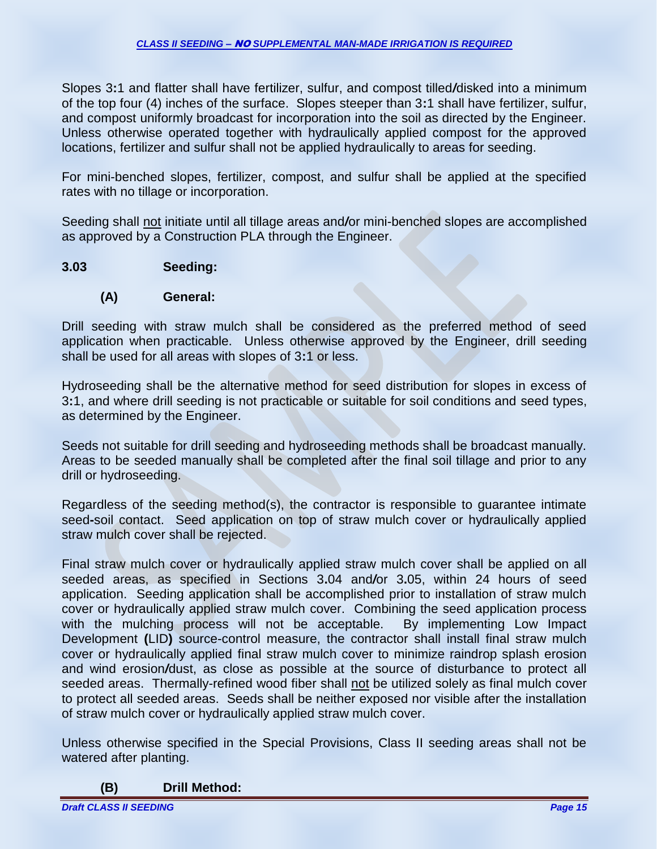Slopes 3**:**1 and flatter shall have fertilizer, sulfur, and compost tilled*/*disked into a minimum of the top four (4) inches of the surface. Slopes steeper than 3**:**1 shall have fertilizer, sulfur, and compost uniformly broadcast for incorporation into the soil as directed by the Engineer. Unless otherwise operated together with hydraulically applied compost for the approved locations, fertilizer and sulfur shall not be applied hydraulically to areas for seeding.

For mini-benched slopes, fertilizer, compost, and sulfur shall be applied at the specified rates with no tillage or incorporation.

Seeding shall not initiate until all tillage areas and*/*or mini-benched slopes are accomplished as approved by a Construction PLA through the Engineer.

# **3.03 Seeding:**

#### **(A) General:**

Drill seeding with straw mulch shall be considered as the preferred method of seed application when practicable. Unless otherwise approved by the Engineer, drill seeding shall be used for all areas with slopes of 3**:**1 or less.

Hydroseeding shall be the alternative method for seed distribution for slopes in excess of 3**:**1, and where drill seeding is not practicable or suitable for soil conditions and seed types, as determined by the Engineer.

Seeds not suitable for drill seeding and hydroseeding methods shall be broadcast manually. Areas to be seeded manually shall be completed after the final soil tillage and prior to any drill or hydroseeding.

Regardless of the seeding method(s), the contractor is responsible to guarantee intimate seed**-**soil contact. Seed application on top of straw mulch cover or hydraulically applied straw mulch cover shall be rejected.

Final straw mulch cover or hydraulically applied straw mulch cover shall be applied on all seeded areas, as specified in Sections 3**.**04 and*/*or 3**.**05, within 24 hours of seed application. Seeding application shall be accomplished prior to installation of straw mulch cover or hydraulically applied straw mulch cover. Combining the seed application process with the mulching process will not be acceptable. By implementing Low Impact Development **(**LID**)** source-control measure, the contractor shall install final straw mulch cover or hydraulically applied final straw mulch cover to minimize raindrop splash erosion and wind erosion*/*dust, as close as possible at the source of disturbance to protect all seeded areas. Thermally-refined wood fiber shall not be utilized solely as final mulch cover to protect all seeded areas. Seeds shall be neither exposed nor visible after the installation of straw mulch cover or hydraulically applied straw mulch cover.

Unless otherwise specified in the Special Provisions, Class II seeding areas shall not be watered after planting.

**(B) Drill Method:**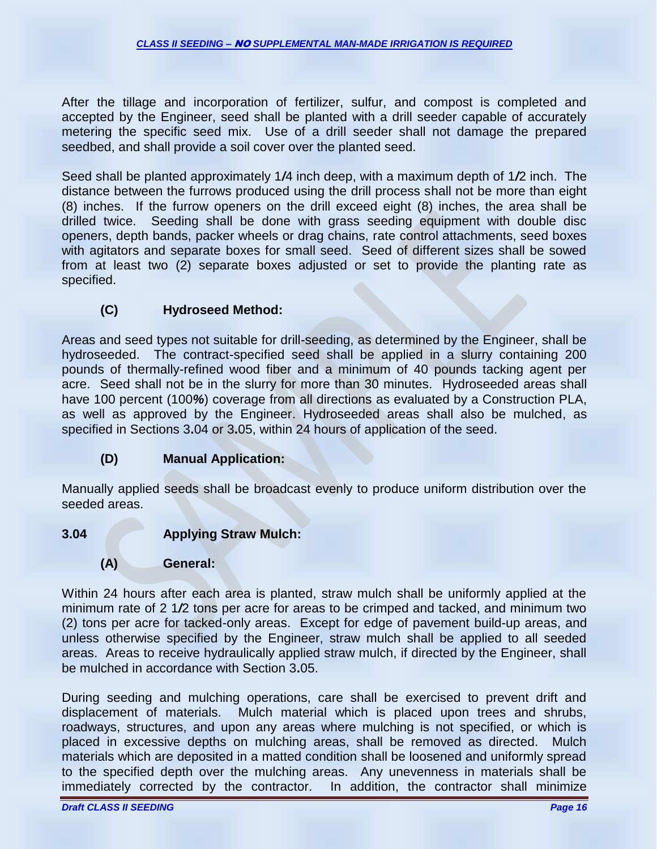After the tillage and incorporation of fertilizer, sulfur, and compost is completed and accepted by the Engineer, seed shall be planted with a drill seeder capable of accurately metering the specific seed mix. Use of a drill seeder shall not damage the prepared seedbed, and shall provide a soil cover over the planted seed.

Seed shall be planted approximately 1*/*4 inch deep, with a maximum depth of 1*/*2 inch. The distance between the furrows produced using the drill process shall not be more than eight (8) inches. If the furrow openers on the drill exceed eight (8) inches, the area shall be drilled twice. Seeding shall be done with grass seeding equipment with double disc openers, depth bands, packer wheels or drag chains, rate control attachments, seed boxes with agitators and separate boxes for small seed. Seed of different sizes shall be sowed from at least two (2) separate boxes adjusted or set to provide the planting rate as specified.

# **(C) Hydroseed Method:**

Areas and seed types not suitable for drill-seeding, as determined by the Engineer, shall be hydroseeded. The contract-specified seed shall be applied in a slurry containing 200 pounds of thermally-refined wood fiber and a minimum of 40 pounds tacking agent per acre. Seed shall not be in the slurry for more than 30 minutes. Hydroseeded areas shall have 100 percent (100*%*) coverage from all directions as evaluated by a Construction PLA, as well as approved by the Engineer. Hydroseeded areas shall also be mulched, as specified in Sections 3**.**04 or 3**.**05, within 24 hours of application of the seed.

# **(D) Manual Application:**

Manually applied seeds shall be broadcast evenly to produce uniform distribution over the seeded areas.

# **3.04 Applying Straw Mulch:**

# **(A) General:**

Within 24 hours after each area is planted, straw mulch shall be uniformly applied at the minimum rate of 2 1*/*2 tons per acre for areas to be crimped and tacked, and minimum two (2) tons per acre for tacked-only areas. Except for edge of pavement build-up areas, and unless otherwise specified by the Engineer, straw mulch shall be applied to all seeded areas. Areas to receive hydraulically applied straw mulch, if directed by the Engineer, shall be mulched in accordance with Section 3**.**05.

During seeding and mulching operations, care shall be exercised to prevent drift and displacement of materials. Mulch material which is placed upon trees and shrubs, roadways, structures, and upon any areas where mulching is not specified, or which is placed in excessive depths on mulching areas, shall be removed as directed. Mulch materials which are deposited in a matted condition shall be loosened and uniformly spread to the specified depth over the mulching areas. Any unevenness in materials shall be immediately corrected by the contractor. In addition, the contractor shall minimize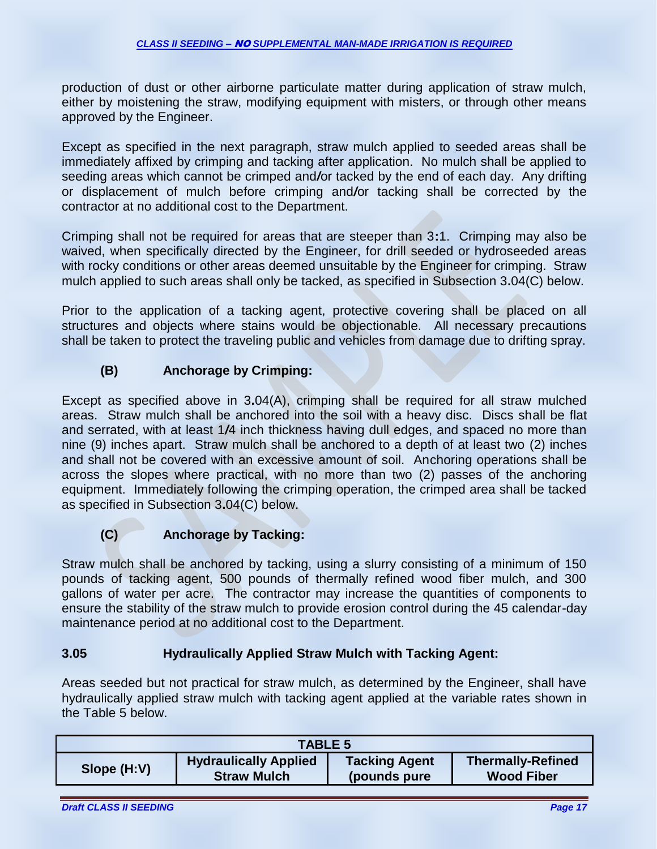production of dust or other airborne particulate matter during application of straw mulch, either by moistening the straw, modifying equipment with misters, or through other means approved by the Engineer.

Except as specified in the next paragraph, straw mulch applied to seeded areas shall be immediately affixed by crimping and tacking after application. No mulch shall be applied to seeding areas which cannot be crimped and*/*or tacked by the end of each day. Any drifting or displacement of mulch before crimping and*/*or tacking shall be corrected by the contractor at no additional cost to the Department.

Crimping shall not be required for areas that are steeper than 3**:**1. Crimping may also be waived, when specifically directed by the Engineer, for drill seeded or hydroseeded areas with rocky conditions or other areas deemed unsuitable by the Engineer for crimping. Straw mulch applied to such areas shall only be tacked, as specified in Subsection 3**.**04(C) below.

Prior to the application of a tacking agent, protective covering shall be placed on all structures and objects where stains would be objectionable. All necessary precautions shall be taken to protect the traveling public and vehicles from damage due to drifting spray.

# **(B) Anchorage by Crimping:**

Except as specified above in 3**.**04(A), crimping shall be required for all straw mulched areas. Straw mulch shall be anchored into the soil with a heavy disc. Discs shall be flat and serrated, with at least 1*/*4 inch thickness having dull edges, and spaced no more than nine (9) inches apart. Straw mulch shall be anchored to a depth of at least two (2) inches and shall not be covered with an excessive amount of soil. Anchoring operations shall be across the slopes where practical, with no more than two (2) passes of the anchoring equipment. Immediately following the crimping operation, the crimped area shall be tacked as specified in Subsection 3**.**04(C) below.

# **(C) Anchorage by Tacking:**

Straw mulch shall be anchored by tacking, using a slurry consisting of a minimum of 150 pounds of tacking agent, 500 pounds of thermally refined wood fiber mulch, and 300 gallons of water per acre. The contractor may increase the quantities of components to ensure the stability of the straw mulch to provide erosion control during the 45 calendar-day maintenance period at no additional cost to the Department.

# **3.05 Hydraulically Applied Straw Mulch with Tacking Agent:**

Areas seeded but not practical for straw mulch, as determined by the Engineer, shall have hydraulically applied straw mulch with tacking agent applied at the variable rates shown in the Table 5 below.

| <b>TABLE 5</b> |                              |                      |                          |
|----------------|------------------------------|----------------------|--------------------------|
| Slope (H:V)    | <b>Hydraulically Applied</b> | <b>Tacking Agent</b> | <b>Thermally-Refined</b> |
|                | <b>Straw Mulch</b>           | (pounds pure)        | <b>Wood Fiber</b>        |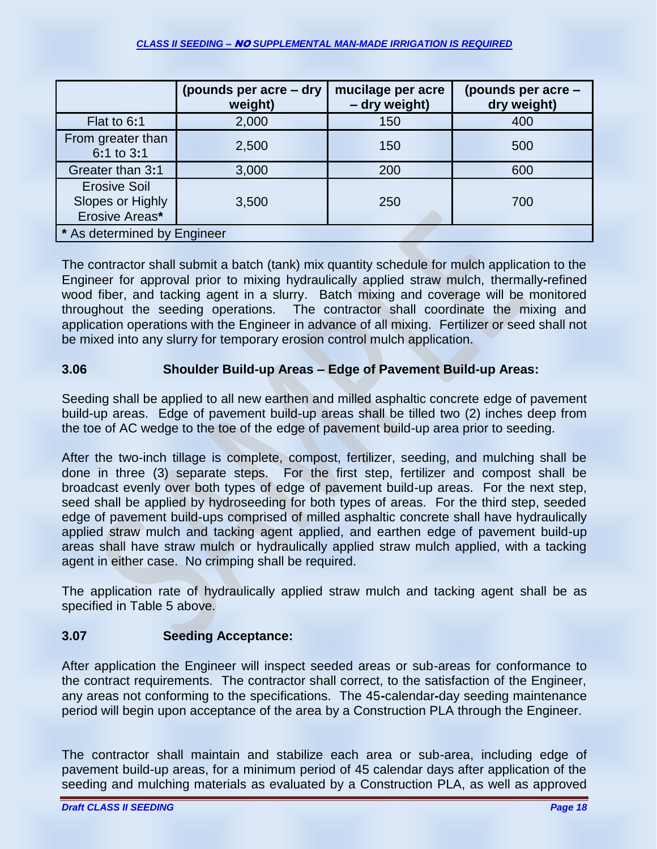#### *CLASS II SEEDING –* NO *SUPPLEMENTAL MAN-MADE IRRIGATION IS REQUIRED*

|                                                           | (pounds per acre – dry<br>weight) | mucilage per acre<br>- dry weight) | (pounds per acre -<br>dry weight) |
|-----------------------------------------------------------|-----------------------------------|------------------------------------|-----------------------------------|
| Flat to 6:1                                               | 2,000                             | 150                                | 400                               |
| From greater than<br>6:1 to 3:1                           | 2,500                             | 150                                | 500                               |
| Greater than 3:1                                          | 3,000                             | 200                                | 600                               |
| <b>Erosive Soil</b><br>Slopes or Highly<br>Erosive Areas* | 3,500                             | 250                                | 700                               |
| * As determined by Engineer                               |                                   |                                    |                                   |

The contractor shall submit a batch (tank) mix quantity schedule for mulch application to the Engineer for approval prior to mixing hydraulically applied straw mulch, thermally**-**refined wood fiber, and tacking agent in a slurry. Batch mixing and coverage will be monitored throughout the seeding operations. The contractor shall coordinate the mixing and application operations with the Engineer in advance of all mixing. Fertilizer or seed shall not be mixed into any slurry for temporary erosion control mulch application.

# **3.06 Shoulder Build-up Areas – Edge of Pavement Build-up Areas:**

Seeding shall be applied to all new earthen and milled asphaltic concrete edge of pavement build-up areas. Edge of pavement build-up areas shall be tilled two (2) inches deep from the toe of AC wedge to the toe of the edge of pavement build-up area prior to seeding.

After the two-inch tillage is complete, compost, fertilizer, seeding, and mulching shall be done in three (3) separate steps. For the first step, fertilizer and compost shall be broadcast evenly over both types of edge of pavement build-up areas. For the next step, seed shall be applied by hydroseeding for both types of areas. For the third step, seeded edge of pavement build-ups comprised of milled asphaltic concrete shall have hydraulically applied straw mulch and tacking agent applied, and earthen edge of pavement build-up areas shall have straw mulch or hydraulically applied straw mulch applied, with a tacking agent in either case. No crimping shall be required.

The application rate of hydraulically applied straw mulch and tacking agent shall be as specified in Table 5 above.

# **3.07 Seeding Acceptance:**

After application the Engineer will inspect seeded areas or sub-areas for conformance to the contract requirements. The contractor shall correct, to the satisfaction of the Engineer, any areas not conforming to the specifications. The 45**-**calendar**-**day seeding maintenance period will begin upon acceptance of the area by a Construction PLA through the Engineer.

The contractor shall maintain and stabilize each area or sub-area, including edge of pavement build-up areas, for a minimum period of 45 calendar days after application of the seeding and mulching materials as evaluated by a Construction PLA, as well as approved